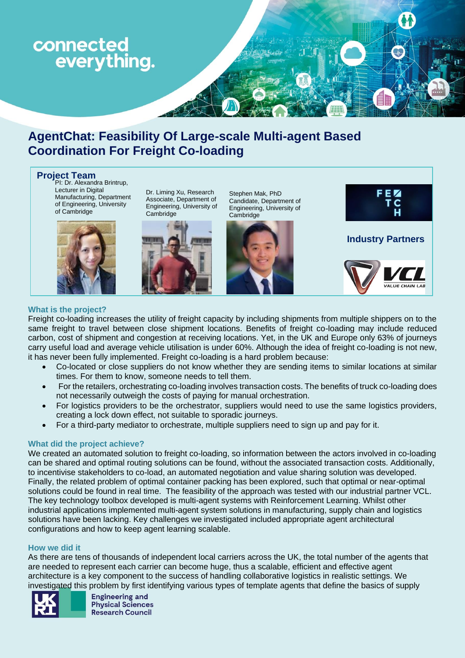

# **AgentChat: Feasibility Of Large-scale Multi-agent Based Coordination For Freight Co-loading**

**Project Team**<br>PI: Dr. Alexandra Brintrup, Lecturer in Digital Manufacturing, Department of Engineering, University of Cambridge



Dr. Liming Xu, Research Associate, Department of Engineering, University of Cambridge



Stephen Mak, PhD Candidate, Department of Engineering, University of Cambridge





**Industry Partners**



# **What is the project?**

L

Freight co-loading increases the utility of freight capacity by including shipments from multiple shippers on to the same freight to travel between close shipment locations. Benefits of freight co-loading may include reduced carbon, cost of shipment and congestion at receiving locations. Yet, in the UK and Europe only 63% of journeys carry useful load and average vehicle utilisation is under 60%. Although the idea of freight co-loading is not new, it has never been fully implemented. Freight co-loading is a hard problem because:

- Co-located or close suppliers do not know whether they are sending items to similar locations at similar times. For them to know, someone needs to tell them.
- For the retailers, orchestrating co-loading involves transaction costs. The benefits of truck co-loading does not necessarily outweigh the costs of paying for manual orchestration.
- For logistics providers to be the orchestrator, suppliers would need to use the same logistics providers, creating a lock down effect, not suitable to sporadic journeys.
- For a third-party mediator to orchestrate, multiple suppliers need to sign up and pay for it.

# **What did the project achieve?**

We created an automated solution to freight co-loading, so information between the actors involved in co-loading can be shared and optimal routing solutions can be found, without the associated transaction costs. Additionally, to incentivise stakeholders to co-load, an automated negotiation and value sharing solution was developed. Finally, the related problem of optimal container packing has been explored, such that optimal or near-optimal solutions could be found in real time. The feasibility of the approach was tested with our industrial partner VCL. The key technology toolbox developed is multi-agent systems with Reinforcement Learning. Whilst other industrial applications implemented multi-agent system solutions in manufacturing, supply chain and logistics solutions have been lacking. Key challenges we investigated included appropriate agent architectural configurations and how to keep agent learning scalable.

#### **How we did it**

As there are tens of thousands of independent local carriers across the UK, the total number of the agents that are needed to represent each carrier can become huge, thus a scalable, efficient and effective agent architecture is a key component to the success of handling collaborative logistics in realistic settings. We investigated this problem by first identifying various types of template agents that define the basics of supply



**Engineering and Physical Sciences Research Council**